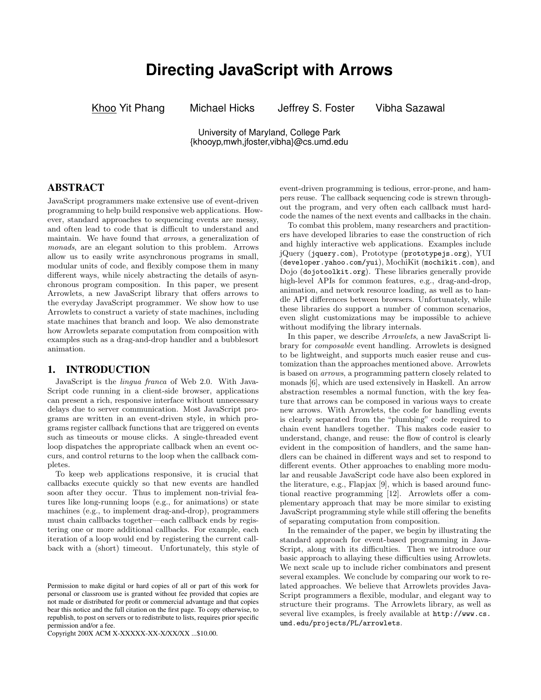# **Directing JavaScript with Arrows**

Khoo Yit Phang Michael Hicks Jeffrey S. Foster Vibha Sazawal

University of Maryland, College Park {khooyp,mwh,jfoster,vibha}@cs.umd.edu

# ABSTRACT

JavaScript programmers make extensive use of event-driven programming to help build responsive web applications. However, standard approaches to sequencing events are messy, and often lead to code that is difficult to understand and maintain. We have found that arrows, a generalization of monads, are an elegant solution to this problem. Arrows allow us to easily write asynchronous programs in small, modular units of code, and flexibly compose them in many different ways, while nicely abstracting the details of asynchronous program composition. In this paper, we present Arrowlets, a new JavaScript library that offers arrows to the everyday JavaScript programmer. We show how to use Arrowlets to construct a variety of state machines, including state machines that branch and loop. We also demonstrate how Arrowlets separate computation from composition with examples such as a drag-and-drop handler and a bubblesort animation.

# 1. INTRODUCTION

JavaScript is the lingua franca of Web 2.0. With Java-Script code running in a client-side browser, applications can present a rich, responsive interface without unnecessary delays due to server communication. Most JavaScript programs are written in an event-driven style, in which programs register callback functions that are triggered on events such as timeouts or mouse clicks. A single-threaded event loop dispatches the appropriate callback when an event occurs, and control returns to the loop when the callback completes.

To keep web applications responsive, it is crucial that callbacks execute quickly so that new events are handled soon after they occur. Thus to implement non-trivial features like long-running loops (e.g., for animations) or state machines (e.g., to implement drag-and-drop), programmers must chain callbacks together—each callback ends by registering one or more additional callbacks. For example, each iteration of a loop would end by registering the current callback with a (short) timeout. Unfortunately, this style of

Copyright 200X ACM X-XXXXX-XX-X/XX/XX ...\$10.00.

event-driven programming is tedious, error-prone, and hampers reuse. The callback sequencing code is strewn throughout the program, and very often each callback must hardcode the names of the next events and callbacks in the chain.

To combat this problem, many researchers and practitioners have developed libraries to ease the construction of rich and highly interactive web applications. Examples include jQuery (jquery.com), Prototype (prototypejs.org), YUI (developer.yahoo.com/yui), MochiKit (mochikit.com), and Dojo (dojotoolkit.org). These libraries generally provide high-level APIs for common features, e.g., drag-and-drop, animation, and network resource loading, as well as to handle API differences between browsers. Unfortunately, while these libraries do support a number of common scenarios, even slight customizations may be impossible to achieve without modifying the library internals.

In this paper, we describe Arrowlets, a new JavaScript library for composable event handling. Arrowlets is designed to be lightweight, and supports much easier reuse and customization than the approaches mentioned above. Arrowlets is based on arrows, a programming pattern closely related to monads [6], which are used extensively in Haskell. An arrow abstraction resembles a normal function, with the key feature that arrows can be composed in various ways to create new arrows. With Arrowlets, the code for handling events is clearly separated from the "plumbing" code required to chain event handlers together. This makes code easier to understand, change, and reuse: the flow of control is clearly evident in the composition of handlers, and the same handlers can be chained in different ways and set to respond to different events. Other approaches to enabling more modular and reusable JavaScript code have also been explored in the literature, e.g., Flapjax [9], which is based around functional reactive programming [12]. Arrowlets offer a complementary approach that may be more similar to existing JavaScript programming style while still offering the benefits of separating computation from composition.

In the remainder of the paper, we begin by illustrating the standard approach for event-based programming in Java-Script, along with its difficulties. Then we introduce our basic approach to allaying these difficulties using Arrowlets. We next scale up to include richer combinators and present several examples. We conclude by comparing our work to related approaches. We believe that Arrowlets provides Java-Script programmers a flexible, modular, and elegant way to structure their programs. The Arrowlets library, as well as several live examples, is freely available at http://www.cs. umd.edu/projects/PL/arrowlets.

Permission to make digital or hard copies of all or part of this work for personal or classroom use is granted without fee provided that copies are not made or distributed for profit or commercial advantage and that copies bear this notice and the full citation on the first page. To copy otherwise, to republish, to post on servers or to redistribute to lists, requires prior specific permission and/or a fee.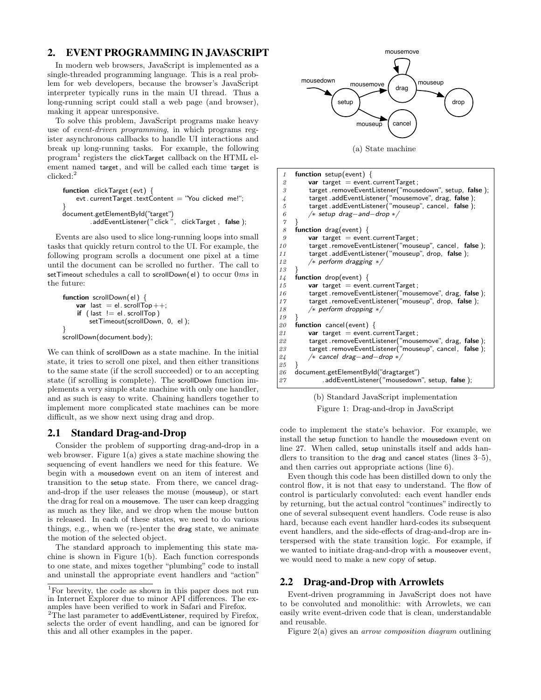### 2. EVENT PROGRAMMING IN JAVASCRIPT

In modern web browsers, JavaScript is implemented as a single-threaded programming language. This is a real problem for web developers, because the browser's JavaScript interpreter typically runs in the main UI thread. Thus a long-running script could stall a web page (and browser), making it appear unresponsive.

To solve this problem, JavaScript programs make heavy use of event-driven programming, in which programs register asynchronous callbacks to handle UI interactions and break up long-running tasks. For example, the following program<sup>1</sup> registers the clickTarget callback on the HTML element named target, and will be called each time target is clicked:<sup>2</sup>

```
function clickTarget (evt) {
    evt. currentTarget. textContent = "You clicked me!";
}
document.getElementById("target")
        .addEventListener("click", clickTarget, false);
```
Events are also used to slice long-running loops into small tasks that quickly return control to the UI. For example, the following program scrolls a document one pixel at a time until the document can be scrolled no further. The call to setTimeout schedules a call to scrollDown(el) to occur 0ms in the future:

```
function scrollDown(el) {
    var last = el. scrollTop ++;
    if ( last != el . scrollTop )setTimeout(scrollDown, 0, el );
}
scrollDown(document.body);
```
We can think of scrollDown as a state machine. In the initial state, it tries to scroll one pixel, and then either transitions to the same state (if the scroll succeeded) or to an accepting state (if scrolling is complete). The scrollDown function implements a very simple state machine with only one handler, and as such is easy to write. Chaining handlers together to implement more complicated state machines can be more difficult, as we show next using drag and drop.

#### 2.1 Standard Drag-and-Drop

Consider the problem of supporting drag-and-drop in a web browser. Figure  $1(a)$  gives a state machine showing the sequencing of event handlers we need for this feature. We begin with a mousedown event on an item of interest and transition to the setup state. From there, we cancel dragand-drop if the user releases the mouse (mouseup), or start the drag for real on a mousemove. The user can keep dragging as much as they like, and we drop when the mouse button is released. In each of these states, we need to do various things, e.g., when we (re-)enter the drag state, we animate the motion of the selected object.

The standard approach to implementing this state machine is shown in Figure 1(b). Each function corresponds to one state, and mixes together "plumbing" code to install and uninstall the appropriate event handlers and "action"



(a) State machine

| $\mathcal I$ | function setup(event) {                                |
|--------------|--------------------------------------------------------|
| 2            | <b>var</b> target $=$ event. current Target;           |
| 3            | target.removeEventListener("mousedown", setup, false); |
| 4            | target.addEventListener("mousemove", drag, false);     |
| 5            | target.addEventListener("mouseup", cancel, false);     |
| 6            | $/*$ setup drag-and-drop $*/$                          |
| $\gamma$     |                                                        |
| 8            | function $drag(event)$ {                               |
| 9            | <b>var</b> target $=$ event. current Target;           |
| 10           | target .removeEventListener("mouseup", cancel, false); |
| 11           | target.addEventListener("mouseup", drop, false);       |
| 12           | /* perform dragging $*/$                               |
| 13           | ł                                                      |
| 14           | function drop(event) {                                 |
| 15           | <b>var</b> target $=$ event. current Target;           |
| 16           | target.removeEventListener("mousemove", drag, false);  |
| 17           | target .removeEventListener("mouseup", drop, false);   |
| 18           | /* perform dropping $*/$                               |
| 19           |                                                        |
| 20           | function cancel (event) $\{$                           |
| 21           | var target $=$ event. current Target;                  |
| 22           | target .removeEventListener("mousemove", drag, false); |
| 23           | target .removeEventListener("mouseup", cancel, false); |
| 24           | /* cancel drag-and-drop $*/$                           |
| 25           | ļ                                                      |
| 26           | document.getElementById("dragtarget")                  |
| 27           | .addEventListener("mousedown", setup, false);          |

(b) Standard JavaScript implementation Figure 1: Drag-and-drop in JavaScript

code to implement the state's behavior. For example, we install the setup function to handle the mousedown event on line 27. When called, setup uninstalls itself and adds handlers to transition to the drag and cancel states (lines 3–5), and then carries out appropriate actions (line 6).

Even though this code has been distilled down to only the control flow, it is not that easy to understand. The flow of control is particularly convoluted: each event handler ends by returning, but the actual control "continues" indirectly to one of several subsequent event handlers. Code reuse is also hard, because each event handler hard-codes its subsequent event handlers, and the side-effects of drag-and-drop are interspersed with the state transition logic. For example, if we wanted to initiate drag-and-drop with a mouseover event, we would need to make a new copy of setup.

#### 2.2 Drag-and-Drop with Arrowlets

Event-driven programming in JavaScript does not have to be convoluted and monolithic: with Arrowlets, we can easily write event-driven code that is clean, understandable and reusable.

Figure 2(a) gives an arrow composition diagram outlining

<sup>1</sup>For brevity, the code as shown in this paper does not run in Internet Explorer due to minor API differences. The examples have been verified to work in Safari and Firefox.

 $2$ The last parameter to addEventListener, required by Firefox, selects the order of event handling, and can be ignored for this and all other examples in the paper.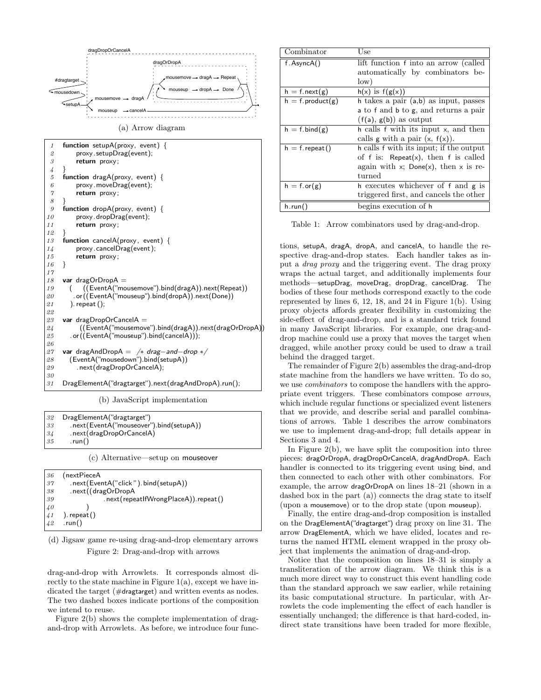

(b) JavaScript implementation

| 32 | DragElementA("dragtarget")              |
|----|-----------------------------------------|
| 33 | .next(EventA("mouseover").bind(setupA)) |
| 34 | .next(dragDropOrCanceIA)                |
| 35 | . run $()$                              |

(c) Alternative—setup on mouseover

| 36             | (nextPieceA                             |
|----------------|-----------------------------------------|
| 37             | . next (EventA("click"). bind (setupA)) |
| 138            | . $next((dragOrDropA$                   |
| 39             | . $next(repeatfWrongPlaceA)$ . repeat() |
| $\frac{1}{4}0$ |                                         |
| $\frac{1}{4}$  | ). $repeat()$                           |
| $\frac{1}{2}$  | . $run()$                               |

(d) Jigsaw game re-using drag-and-drop elementary arrows Figure 2: Drag-and-drop with arrows

drag-and-drop with Arrowlets. It corresponds almost directly to the state machine in Figure  $1(a)$ , except we have indicated the target (#dragtarget) and written events as nodes. The two dashed boxes indicate portions of the composition we intend to reuse.

Figure 2(b) shows the complete implementation of dragand-drop with Arrowlets. As before, we introduce four func-

| Combinator              | Use                                      |
|-------------------------|------------------------------------------|
| $f$ . Async $A()$       | lift function f into an arrow (called    |
|                         | automatically by combinators be-         |
|                         | low)                                     |
| $h = f.next(g)$         | $h(x)$ is $f(g(x))$                      |
| $h = f$ . product $(g)$ | h takes a pair $(a,b)$ as input, passes  |
|                         | a to f and b to g, and returns a pair    |
|                         | $(f(a), g(b))$ as output                 |
| $h = f \cdot bin d(g)$  | h calls f with its input x, and then     |
|                         | calls g with a pair $(x, f(x))$ .        |
| $h = f$ . repeat()      | h calls f with its input; if the output  |
|                         | of f is: Repeat $(x)$ , then f is called |
|                         | again with x; Done(x), then x is re-     |
|                         | turned                                   |
| $h = f \cdot or(g)$     | h executes whichever of f and g is       |
|                         | triggered first, and cancels the other   |
| h.run()                 | begins execution of h                    |

Table 1: Arrow combinators used by drag-and-drop.

tions, setupA, dragA, dropA, and cancelA, to handle the respective drag-and-drop states. Each handler takes as input a drag proxy and the triggering event. The drag proxy wraps the actual target, and additionally implements four methods—setupDrag, moveDrag, dropDrag, cancelDrag. The bodies of these four methods correspond exactly to the code represented by lines 6, 12, 18, and 24 in Figure 1(b). Using proxy objects affords greater flexibility in customizing the side-effect of drag-and-drop, and is a standard trick found in many JavaScript libraries. For example, one drag-anddrop machine could use a proxy that moves the target when dragged, while another proxy could be used to draw a trail behind the dragged target.

The remainder of Figure 2(b) assembles the drag-and-drop state machine from the handlers we have written. To do so, we use combinators to compose the handlers with the appropriate event triggers. These combinators compose arrows, which include regular functions or specialized event listeners that we provide, and describe serial and parallel combinations of arrows. Table 1 describes the arrow combinators we use to implement drag-and-drop; full details appear in Sections 3 and 4.

In Figure 2(b), we have split the composition into three pieces: dragOrDropA, dragDropOrCancelA, dragAndDropA. Each handler is connected to its triggering event using bind, and then connected to each other with other combinators. For example, the arrow dragOrDropA on lines 18–21 (shown in a dashed box in the part (a)) connects the drag state to itself (upon a mousemove) or to the drop state (upon mouseup).

Finally, the entire drag-and-drop composition is installed on the DragElementA("dragtarget") drag proxy on line 31. The arrow DragElementA, which we have elided, locates and returns the named HTML element wrapped in the proxy object that implements the animation of drag-and-drop.

Notice that the composition on lines 18–31 is simply a transliteration of the arrow diagram. We think this is a much more direct way to construct this event handling code than the standard approach we saw earlier, while retaining its basic computational structure. In particular, with Arrowlets the code implementing the effect of each handler is essentially unchanged; the difference is that hard-coded, indirect state transitions have been traded for more flexible,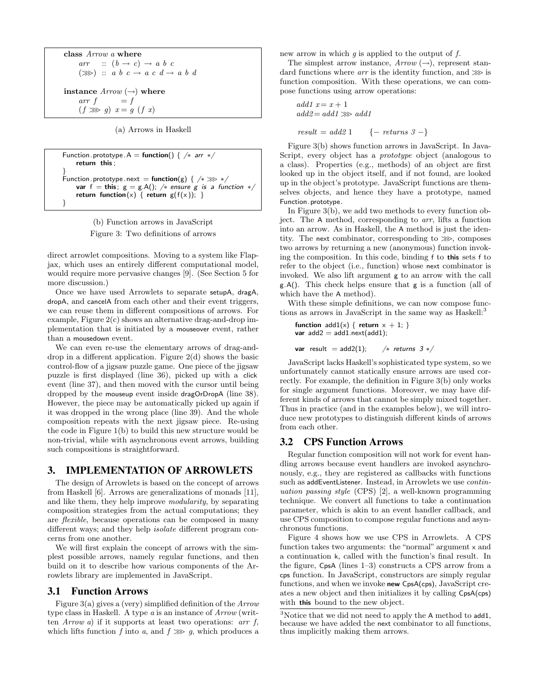```
class Arrow a where
     arr :: (b \rightarrow c) \rightarrow a b c(\ggg) :: a b c \rightarrow a c d \rightarrow a b d
instance Arrow (\rightarrow) where
    arr f = f(f \gg g) x = g(f x)
```
(a) Arrows in Haskell

```
Function. prototype. A = function() \{ / * arr * /return this ;
}
Function. prototype.next = function(g) { /* \gg\gg */
    var f = this; g = g.A(); /* ensure g is a function */
    return function(x) { return g(f(x)); }
}
```


direct arrowlet compositions. Moving to a system like Flapjax, which uses an entirely different computational model, would require more pervasive changes [9]. (See Section 5 for more discussion.)

Once we have used Arrowlets to separate setupA, dragA, dropA, and cancelA from each other and their event triggers, we can reuse them in different compositions of arrows. For example, Figure 2(c) shows an alternative drag-and-drop implementation that is initiated by a mouseover event, rather than a mousedown event.

We can even re-use the elementary arrows of drag-anddrop in a different application. Figure 2(d) shows the basic control-flow of a jigsaw puzzle game. One piece of the jigsaw puzzle is first displayed (line 36), picked up with a click event (line 37), and then moved with the cursor until being dropped by the mouseup event inside dragOrDropA (line 38). However, the piece may be automatically picked up again if it was dropped in the wrong place (line 39). And the whole composition repeats with the next jigsaw piece. Re-using the code in Figure 1(b) to build this new structure would be non-trivial, while with asynchronous event arrows, building such compositions is straightforward.

#### 3. IMPLEMENTATION OF ARROWLETS

The design of Arrowlets is based on the concept of arrows from Haskell [6]. Arrows are generalizations of monads [11], and like them, they help improve modularity, by separating composition strategies from the actual computations; they are flexible, because operations can be composed in many different ways; and they help isolate different program concerns from one another.

We will first explain the concept of arrows with the simplest possible arrows, namely regular functions, and then build on it to describe how various components of the Arrowlets library are implemented in JavaScript.

#### 3.1 Function Arrows

Figure 3(a) gives a (very) simplified definition of the  $Arrow$ type class in Haskell. A type  $a$  is an instance of  $Arrow$  (written Arrow a) if it supports at least two operations:  $arr f$ , which lifts function f into a, and  $f \gg g$ , which produces a

new arrow in which  $g$  is applied to the output of  $f$ .

The simplest arrow instance,  $Arrow(\rightarrow)$ , represent standard functions where *arr* is the identity function, and  $\gg$  is function composition. With these operations, we can compose functions using arrow operations:

$$
add1 x = x + 1
$$
  

$$
add2 = add1 \ggg add1
$$

 $result = add2 1 \qquad \{- \; returns \; 3 - \}$ 

Figure 3(b) shows function arrows in JavaScript. In Java-Script, every object has a prototype object (analogous to a class). Properties (e.g., methods) of an object are first looked up in the object itself, and if not found, are looked up in the object's prototype. JavaScript functions are themselves objects, and hence they have a prototype, named Function. prototype.

In Figure 3(b), we add two methods to every function object. The A method, corresponding to arr, lifts a function into an arrow. As in Haskell, the A method is just the identity. The next combinator, corresponding to  $\ggg$ , composes two arrows by returning a new (anonymous) function invoking the composition. In this code, binding f to this sets f to refer to the object (i.e., function) whose next combinator is invoked. We also lift argument g to an arrow with the call g.A(). This check helps ensure that g is a function (all of which have the A method).

With these simple definitions, we can now compose functions as arrows in JavaScript in the same way as Haskell:<sup>3</sup>

```
function add1(x) \{ return x + 1; \}var add2 = add1.next(add1);var result = add2(1); /* returns 3*/
```
JavaScript lacks Haskell's sophisticated type system, so we unfortunately cannot statically ensure arrows are used correctly. For example, the definition in Figure 3(b) only works for single argument functions. Moreover, we may have different kinds of arrows that cannot be simply mixed together. Thus in practice (and in the examples below), we will introduce new prototypes to distinguish different kinds of arrows from each other.

#### 3.2 CPS Function Arrows

Regular function composition will not work for event handling arrows because event handlers are invoked asynchronously, e.g., they are registered as callbacks with functions such as addEventListener. Instead, in Arrowlets we use continuation passing style (CPS) [2], a well-known programming technique. We convert all functions to take a continuation parameter, which is akin to an event handler callback, and use CPS composition to compose regular functions and asynchronous functions.

Figure 4 shows how we use CPS in Arrowlets. A CPS function takes two arguments: the "normal" argument x and a continuation k, called with the function's final result. In the figure, CpsA (lines 1–3) constructs a CPS arrow from a cps function. In JavaScript, constructors are simply regular functions, and when we invoke new CpsA(cps), JavaScript creates a new object and then initializes it by calling CpsA(cps) with this bound to the new object.

<sup>&</sup>lt;sup>3</sup>Notice that we did not need to apply the A method to add1, because we have added the next combinator to all functions, thus implicitly making them arrows.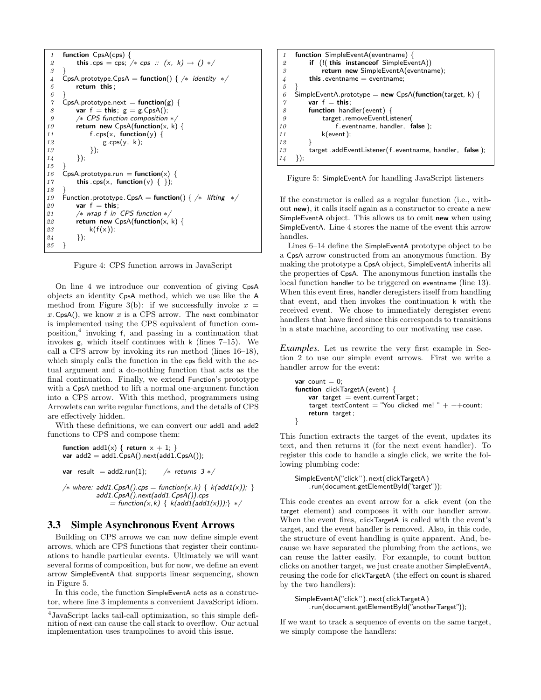```
1 function CpsA(cps) {
2 this cps = cps; /* cps :: (x, k) \rightarrow () */
3 }
4 CpsA.prototype.CpsA = function() { /* identity */5 return this ;
\frac{6}{7}CpsA.prototype.next = function(g) {
8 var f = \text{this}; g = g \text{.} \text{CpsA}();
9 /* CPS function composition *<br>10 return new CpsA(function(x, k
        return new CpsA(function(x, k) {
11 f.\text{cps}(x, function(y)) {
12 g.cps(y, k);
13 });
14 });
15 }
16 CpsA.prototype.run = function(x) {
17 this .cps(x, function(y) \{ \};
18 }
19 Function. prototype. CpsA = function() { /* lifting */20 var f = this:
21 /* wrap f in CPS function */22 return new CpsA(function(x, k) {
23 k(f(x));
24 });
25 }
```
Figure 4: CPS function arrows in JavaScript

On line 4 we introduce our convention of giving CpsA objects an identity CpsA method, which we use like the A method from Figure 3(b): if we successfully invoke  $x =$  $x$ .CpsA(), we know x is a CPS arrow. The next combinator is implemented using the CPS equivalent of function composition,<sup>4</sup> invoking f, and passing in a continuation that invokes  $g$ , which itself continues with  $k$  (lines 7–15). We call a CPS arrow by invoking its run method (lines 16–18), which simply calls the function in the cps field with the actual argument and a do-nothing function that acts as the final continuation. Finally, we extend Function's prototype with a CpsA method to lift a normal one-argument function into a CPS arrow. With this method, programmers using Arrowlets can write regular functions, and the details of CPS are effectively hidden.

With these definitions, we can convert our add1 and add2 functions to CPS and compose them:

```
function add1(x) \{ return x + 1; \}var add2 = add1.CpsA().next(add1.CpsA());var result = add2.run(1); /* returns 3*//* where: add1.CpsA().cps = function(x, k) { k(add1(x)); }add1.CpsA().next(add1.CpsA()).cps
             = function(x, k) { k(add1(add1(x)));} */
```
### 3.3 Simple Asynchronous Event Arrows

Building on CPS arrows we can now define simple event arrows, which are CPS functions that register their continuations to handle particular events. Ultimately we will want several forms of composition, but for now, we define an event arrow SimpleEventA that supports linear sequencing, shown in Figure 5.

In this code, the function SimpleEventA acts as a constructor, where line 3 implements a convenient JavaScript idiom.



Figure 5: SimpleEventA for handling JavaScript listeners

If the constructor is called as a regular function (i.e., without new), it calls itself again as a constructor to create a new SimpleEventA object. This allows us to omit new when using SimpleEventA. Line 4 stores the name of the event this arrow handles.

Lines 6–14 define the SimpleEventA prototype object to be a CpsA arrow constructed from an anonymous function. By making the prototype a CpsA object, SimpleEventA inherits all the properties of CpsA. The anonymous function installs the local function handler to be triggered on eventname (line 13). When this event fires, handler deregisters itself from handling that event, and then invokes the continuation k with the received event. We chose to immediately deregister event handlers that have fired since this corresponds to transitions in a state machine, according to our motivating use case.

*Examples.* Let us rewrite the very first example in Section 2 to use our simple event arrows. First we write a handler arrow for the event:

```
var count = 0:
function clickTargetA (event) {
    var target = event.current Target;
    target .textContent = "You clicked me!" + + +count;
    return target ;
}
```
This function extracts the target of the event, updates its text, and then returns it (for the next event handler). To register this code to handle a single click, we write the following plumbing code:

```
SimpleEventA("click "). next( clickTargetA )
    . run(document.getElementById("target"));
```
This code creates an event arrow for a click event (on the target element) and composes it with our handler arrow. When the event fires, clickTargetA is called with the event's target, and the event handler is removed. Also, in this code, the structure of event handling is quite apparent. And, because we have separated the plumbing from the actions, we can reuse the latter easily. For example, to count button clicks on another target, we just create another SimpleEventA, reusing the code for clickTargetA (the effect on count is shared by the two handlers):

SimpleEventA("click "). next( clickTargetA ) . run(document.getElementById("anotherTarget"));

If we want to track a sequence of events on the same target, we simply compose the handlers:

<sup>4</sup> JavaScript lacks tail-call optimization, so this simple definition of next can cause the call stack to overflow. Our actual implementation uses trampolines to avoid this issue.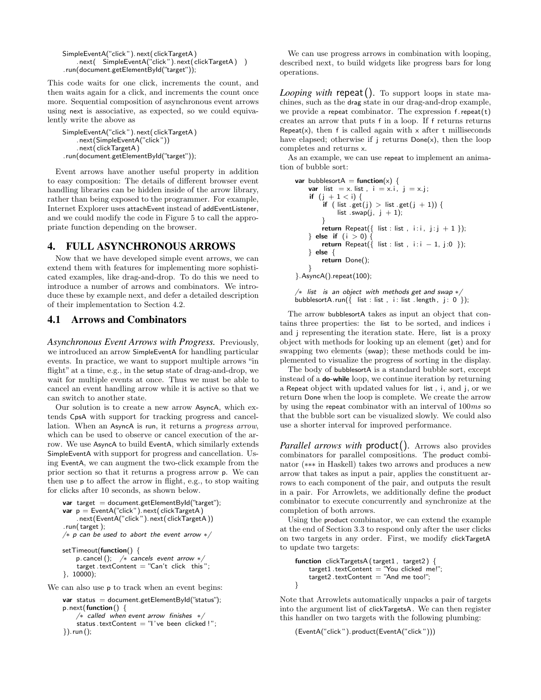```
SimpleEventA("click "). next( clickTargetA )
    .next( SimpleEventA("click "). next( clickTargetA ) )
. run(document.getElementById("target"));
```
This code waits for one click, increments the count, and then waits again for a click, and increments the count once more. Sequential composition of asynchronous event arrows using next is associative, as expected, so we could equivalently write the above as

```
SimpleEventA("click "). next( clickTargetA )
    .next(SimpleEventA("click "))
    .next( clickTargetA )
. run(document.getElementById("target"));
```
Event arrows have another useful property in addition to easy composition: The details of different browser event handling libraries can be hidden inside of the arrow library, rather than being exposed to the programmer. For example, Internet Explorer uses attachEvent instead of addEventListener, and we could modify the code in Figure 5 to call the appropriate function depending on the browser.

## 4. FULL ASYNCHRONOUS ARROWS

Now that we have developed simple event arrows, we can extend them with features for implementing more sophisticated examples, like drag-and-drop. To do this we need to introduce a number of arrows and combinators. We introduce these by example next, and defer a detailed description of their implementation to Section 4.2.

# 4.1 Arrows and Combinators

*Asynchronous Event Arrows with Progress.* Previously, we introduced an arrow SimpleEventA for handling particular events. In practice, we want to support multiple arrows "in flight" at a time, e.g., in the setup state of drag-and-drop, we wait for multiple events at once. Thus we must be able to cancel an event handling arrow while it is active so that we can switch to another state.

Our solution is to create a new arrow AsyncA, which extends CpsA with support for tracking progress and cancellation. When an AsyncA is run, it returns a progress arrow, which can be used to observe or cancel execution of the arrow. We use AsyncA to build EventA, which similarly extends SimpleEventA with support for progress and cancellation. Using EventA, we can augment the two-click example from the prior section so that it returns a progress arrow p. We can then use p to affect the arrow in flight, e.g., to stop waiting for clicks after 10 seconds, as shown below.

```
var target = document.getElementById("target");
var p = EventA("click"). next( clickTargetA)
     . \mathsf{next}(\mathsf{EventA}("click") . \mathsf{next}(\mathsf{clickTargetA})). run( target );
/* p can be used to abort the event arrow */setTimeout(function() {
    p. cancel (); /* cancels event arrow */
     target .textContent = "Can't click this";
}, 10000);
```
We can also use  $p$  to track when an event begins:

```
var status = document.getElementById("status");
p.next(function() {
    /* called when event arrow finishes *status .textContent = "I've been clicked !";
```

```
}). run ();
```
We can use progress arrows in combination with looping, described next, to build widgets like progress bars for long operations.

*Looping with* repeat(). To support loops in state machines, such as the drag state in our drag-and-drop example, we provide a repeat combinator. The expression f repeat(t) creates an arrow that puts f in a loop. If f returns returns Repeat(x), then  $f$  is called again with  $x$  after  $t$  milliseconds have elapsed; otherwise if j returns  $Done(x)$ , then the loop completes and returns x.

As an example, we can use repeat to implement an animation of bubble sort:

```
var bubblesortA = function(x) {
    var list = x. list, i = x. j, j = x. j;
    if (j + 1 < i) {
        if ( list .get(j) > list.get(j + 1)) {
             list .swap(j, j + 1);
        }
        return Repeat({ list : list, i : i, j : j + 1 });
    } else if (i > 0)return Repeat(\{ list : list, i : i - 1, j : 0 });
    } else {
        return Done();
    }
}.AsyncA().repeat(100);
```

```
/* list is an object with methods get and swap */bubblesortA.run({list : list , i : list . length , j : 0 });
```
The arrow bubblesortA takes as input an object that contains three properties: the list to be sorted, and indices i and j representing the iteration state. Here, list is a proxy object with methods for looking up an element (get) and for swapping two elements (swap); these methods could be implemented to visualize the progress of sorting in the display.

The body of bubblesortA is a standard bubble sort, except instead of a do-while loop, we continue iteration by returning a Repeat object with updated values for list , i, and j, or we return Done when the loop is complete. We create the arrow by using the repeat combinator with an interval of 100ms so that the bubble sort can be visualized slowly. We could also use a shorter interval for improved performance.

*Parallel arrows with* product()*.* Arrows also provides combinators for parallel compositions. The product combinator (∗∗∗ in Haskell) takes two arrows and produces a new arrow that takes as input a pair, applies the constituent arrows to each component of the pair, and outputs the result in a pair. For Arrowlets, we additionally define the product combinator to execute concurrently and synchronize at the completion of both arrows.

Using the product combinator, we can extend the example at the end of Section 3.3 to respond only after the user clicks on two targets in any order. First, we modify clickTargetA to update two targets:

```
function clickTargetsA (target1, target2) {
    target1 .textContent = "You clicked me!";
    target2 .textContent = "And me too!";
}
```
Note that Arrowlets automatically unpacks a pair of targets into the argument list of clickTargetsA. We can then register this handler on two targets with the following plumbing:

(EventA("click "). product(EventA("click ")))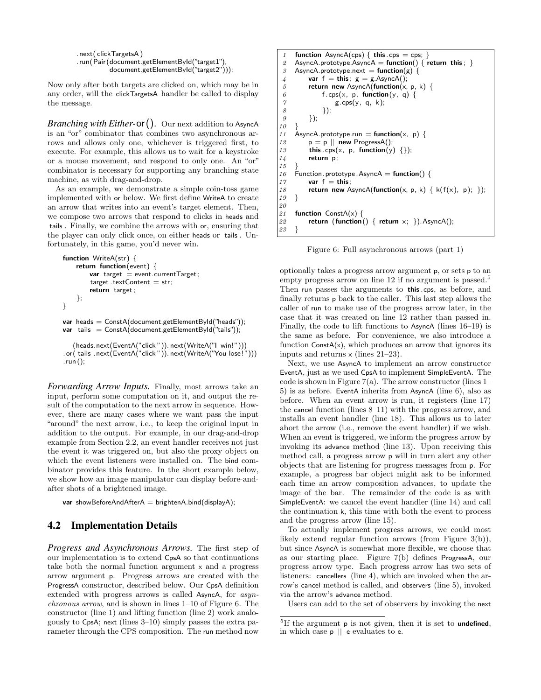```
.next( clickTargetsA )
. run(Pair(document.getElementById("target1"),
          document.getElementById("target2")));
```
Now only after both targets are clicked on, which may be in any order, will the clickTargetsA handler be called to display the message.

*Branching with Either-or* (*)*. Our next addition to AsyncA is an "or" combinator that combines two asynchronous arrows and allows only one, whichever is triggered first, to execute. For example, this allows us to wait for a keystroke or a mouse movement, and respond to only one. An "or" combinator is necessary for supporting any branching state machine, as with drag-and-drop.

As an example, we demonstrate a simple coin-toss game implemented with or below. We first define WriteA to create an arrow that writes into an event's target element. Then, we compose two arrows that respond to clicks in heads and tails . Finally, we combine the arrows with or, ensuring that the player can only click once, on either heads or tails . Unfortunately, in this game, you'd never win.

```
function WriteA(str) {
    return function(event) {
        var target = event.currentTarget;
        target .textContent = str;
        return target ;
    };
}
var heads = ConstA(document.getElementById("heads"));var tails = ConstA(document.getElementById("tails"));
   (heads.next(EventA("click ")). next(WriteA("I win!")))
. or( tails .next(EventA("click ")). next(WriteA("You lose ! ")))
. run ();
```
*Forwarding Arrow Inputs.* Finally, most arrows take an input, perform some computation on it, and output the result of the computation to the next arrow in sequence. However, there are many cases where we want pass the input "around" the next arrow, i.e., to keep the original input in addition to the output. For example, in our drag-and-drop example from Section 2.2, an event handler receives not just the event it was triggered on, but also the proxy object on which the event listeners were installed on. The bind combinator provides this feature. In the short example below, we show how an image manipulator can display before-andafter shots of a brightened image.

var showBeforeAndAfterA = brightenA.bind(displayA);

# 4.2 Implementation Details

*Progress and Asynchronous Arrows.* The first step of our implementation is to extend CpsA so that continuations take both the normal function argument x and a progress arrow argument p. Progress arrows are created with the ProgressA constructor, described below. Our CpsA definition extended with progress arrows is called AsyncA, for asynchronous arrow, and is shown in lines 1–10 of Figure 6. The constructor (line 1) and lifting function (line 2) work analogously to CpsA; next (lines 3–10) simply passes the extra parameter through the CPS composition. The run method now

```
1 function AsyncA(cps) { this .cps = cps; }
2 AsyncA.prototype.AsyncA = function() { return this ; }
3 AsyncA prototype.next = function(g) {
4 var f = this; g = g.AsyncA();5 return new AsyncA(function(x, p, k) {
6 f.cps(x, p, function(y, q) {
\gamma g.cps(y, q, k);
8 });
9 \qquad \};
10 }
11 AsyncA.prototype.run = function(x, p) {
12 p = p || new ProgressA();13 this .cps(x, p, function(y) \{\};
14 return p;
15 }
16 Function. prototype. AsyncA = function()17 var f = this:
18 return new AsyncA(function(x, p, k) { k(f(x), p); });
19 }
20
21 function ConstA(x) {
22 return (function() { return x; }). AsyncA();
23 }
```
Figure 6: Full asynchronous arrows (part 1)

optionally takes a progress arrow argument p, or sets p to an empty progress arrow on line 12 if no argument is passed.<sup>5</sup> Then run passes the arguments to **this** cps, as before, and finally returns p back to the caller. This last step allows the caller of run to make use of the progress arrow later, in the case that it was created on line 12 rather than passed in. Finally, the code to lift functions to AsyncA (lines 16–19) is the same as before. For convenience, we also introduce a function  $ConstA(x)$ , which produces an arrow that ignores its inputs and returns  $\times$  (lines 21–23).

Next, we use AsyncA to implement an arrow constructor EventA, just as we used CpsA to implement SimpleEventA. The code is shown in Figure 7(a). The arrow constructor (lines 1– 5) is as before. EventA inherits from AsyncA (line 6), also as before. When an event arrow is run, it registers (line 17) the cancel function (lines 8–11) with the progress arrow, and installs an event handler (line 18). This allows us to later abort the arrow (i.e., remove the event handler) if we wish. When an event is triggered, we inform the progress arrow by invoking its advance method (line 13). Upon receiving this method call, a progress arrow p will in turn alert any other objects that are listening for progress messages from p. For example, a progress bar object might ask to be informed each time an arrow composition advances, to update the image of the bar. The remainder of the code is as with SimpleEventA: we cancel the event handler (line 14) and call the continuation k, this time with both the event to process and the progress arrow (line 15).

To actually implement progress arrows, we could most likely extend regular function arrows (from Figure 3(b)), but since AsyncA is somewhat more flexible, we choose that as our starting place. Figure 7(b) defines ProgressA, our progress arrow type. Each progress arrow has two sets of listeners: cancellers (line 4), which are invoked when the arrow's cancel method is called, and observers (line 5), invoked via the arrow's advance method.

Users can add to the set of observers by invoking the next

 ${}^{5}$ If the argument p is not given, then it is set to undefined, in which case  $p \parallel e$  evaluates to e.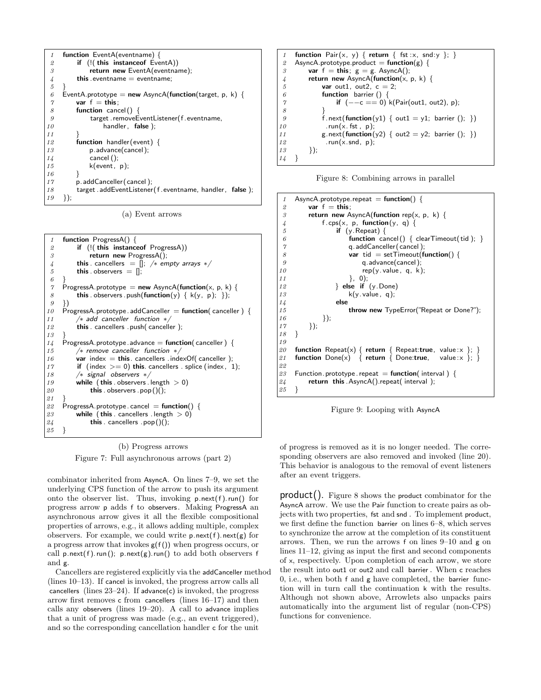| 1<br>2   | function $EventA(eventname)$ {<br>if $($ !( this instance of EventA)) |
|----------|-----------------------------------------------------------------------|
| 3        | return new EventA(eventname);                                         |
| 4        | this event $a =$ event $a =$                                          |
| 5        |                                                                       |
| 6        | EventA.prototype = new AsyncA(function(target, p, k) {                |
| $\gamma$ | var $f = this$ :                                                      |
| 8        | function cancel() $\{$                                                |
| 9        | target.removeEventListener(f.eventname,                               |
| 10       | handler, false);                                                      |
| 11       |                                                                       |
| 12       | function handler (event) {                                            |
| 13       | p.advance(cancel);                                                    |
| 14       | cancel $()$ ;                                                         |
| 15       | $k(event, p)$ ;                                                       |
| 16       |                                                                       |
| 17       | p.addCanceller(cancel);                                               |
| 18       | target.addEventListener(f.eventname, handler, false);                 |
| 19       | $\}$ :                                                                |

(a) Event arrows

```
function ProgressA() {
2 if (!( this instanceof ProgressA))
3 return new ProgressA();
4 this cancellers = []; /* empty arrays */
5 this observers = [];
\epsilon\gamma ProgressA.prototype = new AsyncA(function(x, p, k) {
8 this observers push(function(y) \{ k(y, p); \});
9 })
10 ProgressA.prototype. addCanceller = function( canceller ) {
11 /* add canceller function */
12 this . cancellers . push ( canceller );
13 }
14 ProgressA.prototype.advance = function( canceller ) {
15 /* remove canceller function */16 var index = this cancellers indexOf( canceller );
17 if (index >= 0) this. cancellers . splice (index, 1);
18 /* signal observers */<br>
19 while (this observers
        while ( this . observers . length > 0)
20 this observers . pop ()();
21 }
22 ProgressA.prototype.cancel = function() {
23 while (this cancellers length > 0)
24 this cancellers .pop()();
25 }
```
(b) Progress arrows Figure 7: Full asynchronous arrows (part 2)

combinator inherited from AsyncA. On lines 7–9, we set the underlying CPS function of the arrow to push its argument onto the observer list. Thus, invoking  $p.next(f)$ . run() for progress arrow p adds f to observers. Making ProgressA an asynchronous arrow gives it all the flexible compositional properties of arrows, e.g., it allows adding multiple, complex observers. For example, we could write  $p.next(f).next(g)$  for a progress arrow that invokes  $g(f())$  when progress occurs, or call  $p.next(f).run()$ ;  $p.next(g).run()$  to add both observers f and g.

Cancellers are registered explicitly via the addCanceller method (lines 10–13). If cancel is invoked, the progress arrow calls all cancellers (lines  $23-24$ ). If advance(c) is invoked, the progress arrow first removes c from cancellers (lines 16–17) and then calls any observers (lines 19–20). A call to advance implies that a unit of progress was made (e.g., an event triggered), and so the corresponding cancellation handler c for the unit

function Pair $(x, y)$  { return { fst :x, snd:y }; } 2 AsyncA.prototype.product = function(g) { 3 var f = this;  $g = g$ . AsyncA(); 4 return new AsyncA(function(x, p, k) {  $5$  var out1, out2,  $c = 2$ ;  $6$  function barrier () {  $\gamma$  if  $(--c == 0)$  k(Pair(out1, out2), p); 8 } 9 f.next(**function**(y1) { out1 = y1; barrier (); })<br>  $10$  run(x.fst, p); . run $(x.$  fst,  $p)$ ; 11 g.next(function(y2) { out2 = y2; barrier (); })  $12$  . run(x.snd, p); 13 }); 14 }



```
1 AsyncA.prototype.repeat = function() {
 2 var f = \text{this};<br>3 return new A
        return new AsyncA(function rep(x, p, k) {
 4 f.cps(x, p, function(y, q) {
 5 if (y. Repeat) \{6 function cancel () \{ clearTimeout(tid); \}\gamma q. addCanceller(cancel);
 8 var tid = setTimeout(function() {
 9 q.advance(cancel);
10 rep(y. value, q, k);
11 }, 0);
12 } else if (y.Done)13 k(y. value, q);
14 else
15 throw new TypeError("Repeat or Done?");
16 });
\begin{array}{c} 17 \\ 18 \end{array} });
18 }
19
20 function Repeat(x) { return { Repeat:true, value:x }; }<br>21 function Done(x) { return { Done:true, value:x }; }
21 function \text{Done}(x) \in \{ return \{ Done: true, value :x \};
22
    Function. prototype. repeat = function( interval ) {
24 return this AsyncA() repeat( interval);
25 }
```


of progress is removed as it is no longer needed. The corresponding observers are also removed and invoked (line 20). This behavior is analogous to the removal of event listeners after an event triggers.

product()*.* Figure 8 shows the product combinator for the AsyncA arrow. We use the Pair function to create pairs as objects with two properties, fst and snd . To implement product, we first define the function barrier on lines 6–8, which serves to synchronize the arrow at the completion of its constituent arrows. Then, we run the arrows f on lines 9–10 and g on lines 11–12, giving as input the first and second components of x, respectively. Upon completion of each arrow, we store the result into out1 or out2 and call barrier . When c reaches 0, i.e., when both f and g have completed, the barrier function will in turn call the continuation k with the results. Although not shown above, Arrowlets also unpacks pairs automatically into the argument list of regular (non-CPS) functions for convenience.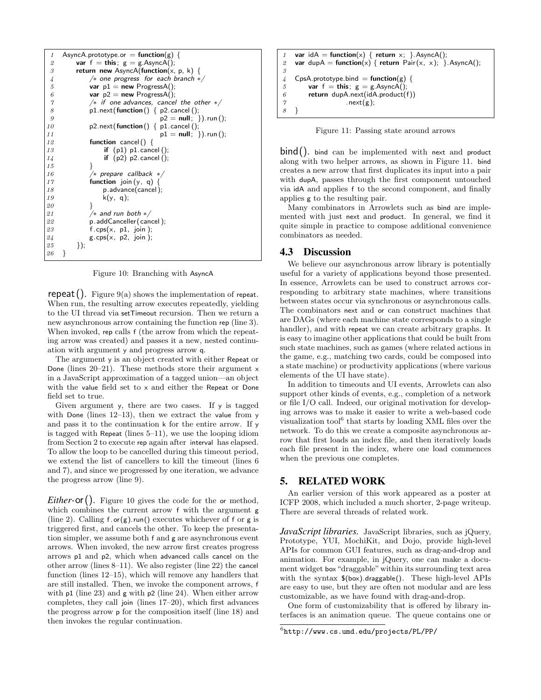| 1                           | $\Delta$ sync $\Delta$ .prototype.or = function(g) { |
|-----------------------------|------------------------------------------------------|
| 2                           | var $f = \text{this}$ ; $g = g$ . AsyncA();          |
| $\mathcal{S}_{\mathcal{S}}$ | return new AsyncA(function(x, p, k) {                |
|                             | /* one progress for each branch $*/$                 |
| $\frac{4}{5}$               | var $p1 = new ProgressA();$                          |
| $\ddot{o}$                  | var $p2 = new ProgressA();$                          |
| $\gamma$                    | $/*$ if one advances, cancel the other $*/$          |
| 8                           | $p1.next(function() \{ p2. cancel();$                |
| $\mathfrak{g}$              | $p2 = null;$ }). run ();                             |
| 10                          | $p2.next(function() \{ p1. cancel();$                |
| 11                          | $p1 = null;$ }). run ();                             |
| 12                          | function cancel() $\{$                               |
| 13                          | if $(p1)$ p1. cancel ();                             |
| 14                          | if $(p2)$ p2. cancel ();                             |
| 15                          | ł                                                    |
| 16                          | /* prepare callback $*/$                             |
| 17                          | function join $(y, q)$ {                             |
| 18                          | p.advance(cancel);                                   |
| 19                          | $k(y, q)$ ;                                          |
| 20                          | }                                                    |
| 21                          | / $*$ and run both $*/$                              |
| 22                          | p.addCanceller(cancel);                              |
| 23                          | f.cps $(x, p1, join)$ ;                              |
| 24                          | $g.\text{cps}(x, p2, join);$                         |
| 25                          | $\}$ );                                              |
| 26                          | ł                                                    |

Figure 10: Branching with AsyncA

**repeat ().** Figure  $9(a)$  shows the implementation of repeat. When run, the resulting arrow executes repeatedly, yielding to the UI thread via setTimeout recursion. Then we return a new asynchronous arrow containing the function rep (line 3). When invoked, rep calls f (the arrow from which the repeating arrow was created) and passes it a new, nested continuation with argument y and progress arrow q.

The argument y is an object created with either Repeat or Done (lines  $20-21$ ). These methods store their argument x in a JavaScript approximation of a tagged union—an object with the value field set to x and either the Repeat or Done field set to true.

Given argument  $\gamma$ , there are two cases. If  $\gamma$  is tagged with Done (lines  $12-13$ ), then we extract the value from y and pass it to the continuation k for the entire arrow. If y is tagged with Repeat (lines 5–11), we use the looping idiom from Section 2 to execute rep again after interval has elapsed. To allow the loop to be cancelled during this timeout period, we extend the list of cancellers to kill the timeout (lines 6 and 7), and since we progressed by one iteration, we advance the progress arrow (line 9).

*Either-*or(). Figure 10 gives the code for the or method, which combines the current arrow f with the argument g (line 2). Calling  $f \cdot or(g)$ . run() executes whichever of f or g is triggered first, and cancels the other. To keep the presentation simpler, we assume both f and g are asynchronous event arrows. When invoked, the new arrow first creates progress arrows p1 and p2, which when advanced calls cancel on the other arrow (lines 8–11). We also register (line 22) the cancel function (lines 12–15), which will remove any handlers that are still installed. Then, we invoke the component arrows, f with p1 (line 23) and g with p2 (line 24). When either arrow completes, they call join (lines 17–20), which first advances the progress arrow p for the composition itself (line 18) and then invokes the regular continuation.



Figure 11: Passing state around arrows

bind(). bind can be implemented with next and product along with two helper arrows, as shown in Figure 11. bind creates a new arrow that first duplicates its input into a pair with dupA, passes through the first component untouched via idA and applies f to the second component, and finally applies g to the resulting pair.

Many combinators in Arrowlets such as bind are implemented with just next and product. In general, we find it quite simple in practice to compose additional convenience combinators as needed.

#### 4.3 Discussion

We believe our asynchronous arrow library is potentially useful for a variety of applications beyond those presented. In essence, Arrowlets can be used to construct arrows corresponding to arbitrary state machines, where transitions between states occur via synchronous or asynchronous calls. The combinators next and or can construct machines that are DAGs (where each machine state corresponds to a single handler), and with repeat we can create arbitrary graphs. It is easy to imagine other applications that could be built from such state machines, such as games (where related actions in the game, e.g., matching two cards, could be composed into a state machine) or productivity applications (where various elements of the UI have state).

In addition to timeouts and UI events, Arrowlets can also support other kinds of events, e.g., completion of a network or file I/O call. Indeed, our original motivation for developing arrows was to make it easier to write a web-based code visualization tool<sup>6</sup> that starts by loading XML files over the network. To do this we create a composite asynchronous arrow that first loads an index file, and then iteratively loads each file present in the index, where one load commences when the previous one completes.

# 5. RELATED WORK

An earlier version of this work appeared as a poster at ICFP 2008, which included a much shorter, 2-page writeup. There are several threads of related work.

*JavaScript libraries.* JavaScript libraries, such as jQuery, Prototype, YUI, MochiKit, and Dojo, provide high-level APIs for common GUI features, such as drag-and-drop and animation. For example, in jQuery, one can make a document widget box"draggable"within its surrounding text area with the syntax \$(box).draggable(). These high-level APIs are easy to use, but they are often not modular and are less customizable, as we have found with drag-and-drop.

One form of customizability that is offered by library interfaces is an animation queue. The queue contains one or

 $^6$ http://www.cs.umd.edu/projects/PL/PP/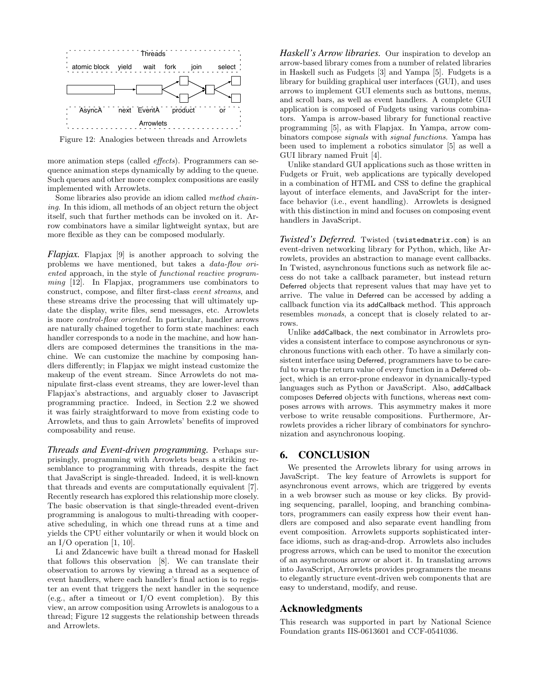

Figure 12: Analogies between threads and Arrowlets

more animation steps (called *effects*). Programmers can sequence animation steps dynamically by adding to the queue. Such queues and other more complex compositions are easily implemented with Arrowlets.

Some libraries also provide an idiom called method chaining. In this idiom, all methods of an object return the object itself, such that further methods can be invoked on it. Arrow combinators have a similar lightweight syntax, but are more flexible as they can be composed modularly.

*Flapjax.* Flapjax [9] is another approach to solving the problems we have mentioned, but takes a data-flow oriented approach, in the style of functional reactive programming [12]. In Flapjax, programmers use combinators to construct, compose, and filter first-class event streams, and these streams drive the processing that will ultimately update the display, write files, send messages, etc. Arrowlets is more control-flow oriented. In particular, handler arrows are naturally chained together to form state machines: each handler corresponds to a node in the machine, and how handlers are composed determines the transitions in the machine. We can customize the machine by composing handlers differently; in Flapjax we might instead customize the makeup of the event stream. Since Arrowlets do not manipulate first-class event streams, they are lower-level than Flapjax's abstractions, and arguably closer to Javascript programming practice. Indeed, in Section 2.2 we showed it was fairly straightforward to move from existing code to Arrowlets, and thus to gain Arrowlets' benefits of improved composability and reuse.

*Threads and Event-driven programming.* Perhaps surprisingly, programming with Arrowlets bears a striking resemblance to programming with threads, despite the fact that JavaScript is single-threaded. Indeed, it is well-known that threads and events are computationally equivalent [7]. Recently research has explored this relationship more closely. The basic observation is that single-threaded event-driven programming is analogous to multi-threading with cooperative scheduling, in which one thread runs at a time and yields the CPU either voluntarily or when it would block on an I/O operation  $[1, 10]$ .

Li and Zdancewic have built a thread monad for Haskell that follows this observation [8]. We can translate their observation to arrows by viewing a thread as a sequence of event handlers, where each handler's final action is to register an event that triggers the next handler in the sequence (e.g., after a timeout or I/O event completion). By this view, an arrow composition using Arrowlets is analogous to a thread; Figure 12 suggests the relationship between threads and Arrowlets.

*Haskell's Arrow libraries.* Our inspiration to develop an arrow-based library comes from a number of related libraries in Haskell such as Fudgets [3] and Yampa [5]. Fudgets is a library for building graphical user interfaces (GUI), and uses arrows to implement GUI elements such as buttons, menus, and scroll bars, as well as event handlers. A complete GUI application is composed of Fudgets using various combinators. Yampa is arrow-based library for functional reactive programming [5], as with Flapjax. In Yampa, arrow combinators compose signals with signal functions. Yampa has been used to implement a robotics simulator [5] as well a GUI library named Fruit [4].

Unlike standard GUI applications such as those written in Fudgets or Fruit, web applications are typically developed in a combination of HTML and CSS to define the graphical layout of interface elements, and JavaScript for the interface behavior (i.e., event handling). Arrowlets is designed with this distinction in mind and focuses on composing event handlers in JavaScript.

*Twisted's Deferred.* Twisted (twistedmatrix.com) is an event-driven networking library for Python, which, like Arrowlets, provides an abstraction to manage event callbacks. In Twisted, asynchronous functions such as network file access do not take a callback parameter, but instead return Deferred objects that represent values that may have yet to arrive. The value in Deferred can be accessed by adding a callback function via its addCallback method. This approach resembles monads, a concept that is closely related to arrows.

Unlike addCallback, the next combinator in Arrowlets provides a consistent interface to compose asynchronous or synchronous functions with each other. To have a similarly consistent interface using Deferred, programmers have to be careful to wrap the return value of every function in a Deferred object, which is an error-prone endeavor in dynamically-typed languages such as Python or JavaScript. Also, addCallback composes Deferred objects with functions, whereas next composes arrows with arrows. This asymmetry makes it more verbose to write reusable compositions. Furthermore, Arrowlets provides a richer library of combinators for synchronization and asynchronous looping.

#### 6. CONCLUSION

We presented the Arrowlets library for using arrows in JavaScript. The key feature of Arrowlets is support for asynchronous event arrows, which are triggered by events in a web browser such as mouse or key clicks. By providing sequencing, parallel, looping, and branching combinators, programmers can easily express how their event handlers are composed and also separate event handling from event composition. Arrowlets supports sophisticated interface idioms, such as drag-and-drop. Arrowlets also includes progress arrows, which can be used to monitor the execution of an asynchronous arrow or abort it. In translating arrows into JavaScript, Arrowlets provides programmers the means to elegantly structure event-driven web components that are easy to understand, modify, and reuse.

#### Acknowledgments

This research was supported in part by National Science Foundation grants IIS-0613601 and CCF-0541036.